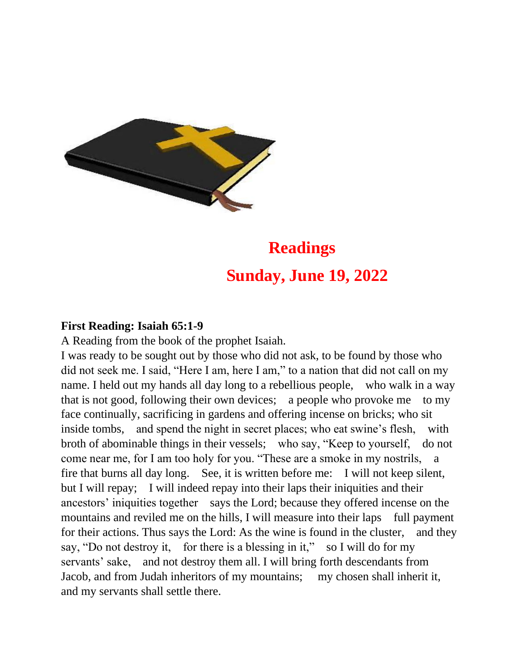

# **Readings Sunday, June 19, 2022**

## **First Reading: Isaiah 65:1-9**

A Reading from the book of the prophet Isaiah.

I was ready to be sought out by those who did not ask, to be found by those who did not seek me. I said, "Here I am, here I am," to a nation that did not call on my name. I held out my hands all day long to a rebellious people, who walk in a way that is not good, following their own devices; a people who provoke me to my face continually, sacrificing in gardens and offering incense on bricks; who sit inside tombs, and spend the night in secret places; who eat swine's flesh, with broth of abominable things in their vessels; who say, "Keep to yourself, do not come near me, for I am too holy for you. "These are a smoke in my nostrils, a fire that burns all day long. See, it is written before me: I will not keep silent, but I will repay; I will indeed repay into their laps their iniquities and their ancestors' iniquities together says the Lord; because they offered incense on the mountains and reviled me on the hills, I will measure into their laps full payment for their actions. Thus says the Lord: As the wine is found in the cluster, and they say, "Do not destroy it, for there is a blessing in it," so I will do for my servants' sake, and not destroy them all. I will bring forth descendants from Jacob, and from Judah inheritors of my mountains; my chosen shall inherit it, and my servants shall settle there.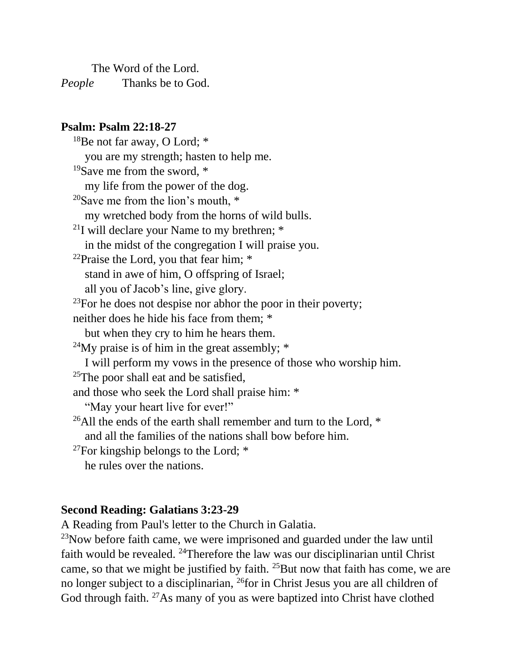The Word of the Lord. *People* Thanks be to God.

## **Psalm: Psalm 22:18-27**

<sup>18</sup>Be not far away, O Lord; \* you are my strength; hasten to help me. <sup>19</sup>Save me from the sword, \* my life from the power of the dog. <sup>20</sup>Save me from the lion's mouth,  $*$ my wretched body from the horns of wild bulls. <sup>21</sup>I will declare your Name to my brethren;  $*$ in the midst of the congregation I will praise you. <sup>22</sup>Praise the Lord, you that fear him;  $*$ stand in awe of him, O offspring of Israel; all you of Jacob's line, give glory.  $23$ For he does not despise nor abhor the poor in their poverty; neither does he hide his face from them; \* but when they cry to him he hears them. <sup>24</sup>My praise is of him in the great assembly;  $*$ I will perform my vows in the presence of those who worship him.  $25$ The poor shall eat and be satisfied, and those who seek the Lord shall praise him: \* "May your heart live for ever!" <sup>26</sup>All the ends of the earth shall remember and turn to the Lord,  $*$ and all the families of the nations shall bow before him.  $27$ For kingship belongs to the Lord;  $*$ he rules over the nations.

## **Second Reading: Galatians 3:23-29**

A Reading from Paul's letter to the Church in Galatia.

 $23$ Now before faith came, we were imprisoned and guarded under the law until faith would be revealed. <sup>24</sup>Therefore the law was our disciplinarian until Christ came, so that we might be justified by faith. <sup>25</sup>But now that faith has come, we are no longer subject to a disciplinarian, <sup>26</sup>for in Christ Jesus you are all children of God through faith. <sup>27</sup>As many of you as were baptized into Christ have clothed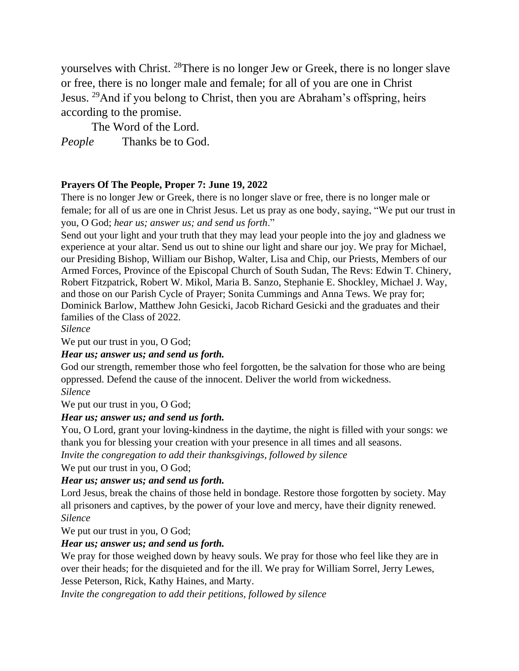yourselves with Christ. <sup>28</sup>There is no longer Jew or Greek, there is no longer slave or free, there is no longer male and female; for all of you are one in Christ Jesus. <sup>29</sup>And if you belong to Christ, then you are Abraham's offspring, heirs according to the promise.

The Word of the Lord.

*People* Thanks be to God.

### **Prayers Of The People, Proper 7: June 19, 2022**

There is no longer Jew or Greek, there is no longer slave or free, there is no longer male or female; for all of us are one in Christ Jesus. Let us pray as one body, saying, "We put our trust in you, O God; *hear us; answer us; and send us forth*."

Send out your light and your truth that they may lead your people into the joy and gladness we experience at your altar. Send us out to shine our light and share our joy. We pray for Michael, our Presiding Bishop, William our Bishop, Walter, Lisa and Chip, our Priests, Members of our Armed Forces, Province of the Episcopal Church of South Sudan, The Revs: Edwin T. Chinery, Robert Fitzpatrick, Robert W. Mikol, Maria B. Sanzo, Stephanie E. Shockley, Michael J. Way, and those on our Parish Cycle of Prayer; Sonita Cummings and Anna Tews. We pray for; Dominick Barlow, Matthew John Gesicki, Jacob Richard Gesicki and the graduates and their families of the Class of 2022.

*Silence*

We put our trust in you, O God;

#### *Hear us; answer us; and send us forth.*

God our strength, remember those who feel forgotten, be the salvation for those who are being oppressed. Defend the cause of the innocent. Deliver the world from wickedness. *Silence*

We put our trust in you, O God;

#### *Hear us; answer us; and send us forth.*

You, O Lord, grant your loving-kindness in the daytime, the night is filled with your songs: we thank you for blessing your creation with your presence in all times and all seasons.

*Invite the congregation to add their thanksgivings, followed by silence*

We put our trust in you, O God;

#### *Hear us; answer us; and send us forth.*

Lord Jesus, break the chains of those held in bondage. Restore those forgotten by society. May all prisoners and captives, by the power of your love and mercy, have their dignity renewed. *Silence*

We put our trust in you, O God;

#### *Hear us; answer us; and send us forth.*

We pray for those weighed down by heavy souls. We pray for those who feel like they are in over their heads; for the disquieted and for the ill. We pray for William Sorrel, Jerry Lewes, Jesse Peterson, Rick, Kathy Haines, and Marty.

*Invite the congregation to add their petitions, followed by silence*